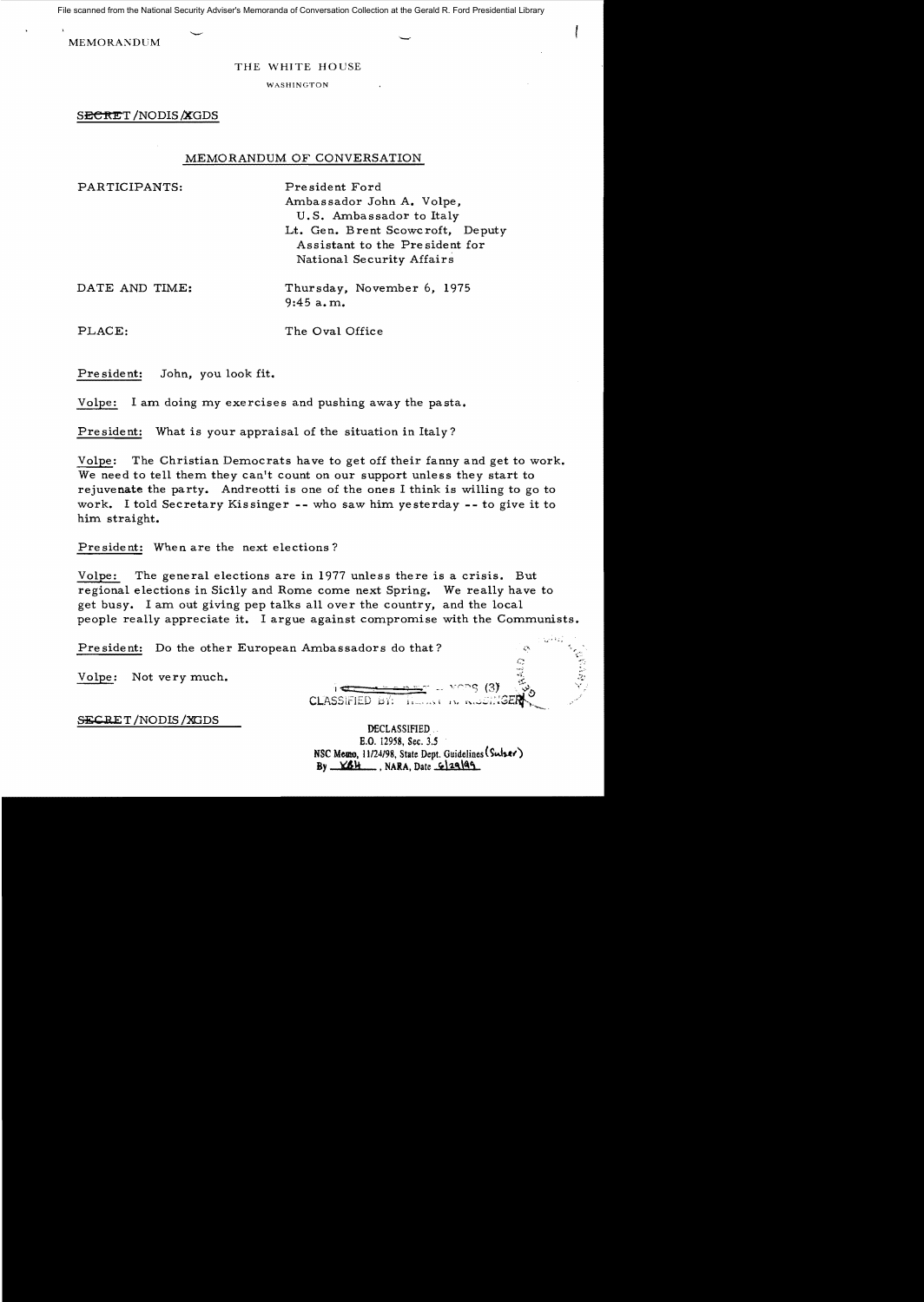File scanned from the National Security Adviser's Memoranda of Conversation Collection at the Gerald R. Ford Presidential Library

MEMORANDUM

## THE WHITE HOUSE

WASHINGTON

SECRET /NODIS **XGDS** 

## MEMORANDUM OF CONVERSATION

PARTICIPANTS: President Ford Ambassador John A. Volpe, U. S. Ambassador to Italy Lt. Gen. Brent Scowcroft, Deputy Assistant to the Pre sident for National Security Affairs

DATE AND TIME: Thursday, November 6, 1975 9:45 a. m.

PLACE: The Oval Office

Pre sident: John, you look fit.

Volpe: I am doing my exercises and pushing away the pasta.

President: What is your appraisal of the situation in Italy?

Volpe: The Christian Democrats have to get off their fanny and get to work. We need to tell them they can't count on our support unless they start to rejuvenate the party. Andreotti is one of the ones I think is willing to go to work. I told Secretary Kissinger -- who saw him yesterday -- to give it to him straight.

President: When are the next elections?

Volpe: The general elections are in 1977 unless there is a crisis. But regional elections in Sicily and Rome come next Spring. We really have to get busy. I am out giving pep talks all over the country, and the local people really appreciate it. I argue against compromise with the Communists.

President: Do the other European Ambassadors do that?

Volpe: Not very much.

*......i*   $\frac{1}{2}$  =  $\frac{1}{2}$  =  $\frac{1}{2}$   $\frac{1}{2}$   $\frac{1}{2}$   $\frac{1}{2}$   $\frac{1}{2}$   $\frac{1}{2}$   $\frac{1}{2}$   $\frac{1}{2}$   $\frac{1}{2}$   $\frac{1}{2}$   $\frac{1}{2}$   $\frac{1}{2}$   $\frac{1}{2}$   $\frac{1}{2}$   $\frac{1}{2}$   $\frac{1}{2}$   $\frac{1}{2}$   $\frac{1}{2}$   $\frac{1}{2}$   $\frac{1}{2$  $CLASSIFIED`b'i'.$   $I:=...$ 

 $\mathbb{Z}^{1}$ 

SECRET/NODIS/XGDS

DECLASSIFIED B.O. 12958. Sec, 3.5 NSC Memo. 11/24/98. State Dept. Guidelines (Sulser)  $By$   $K6H$ , NARA, Date  $6|29|99$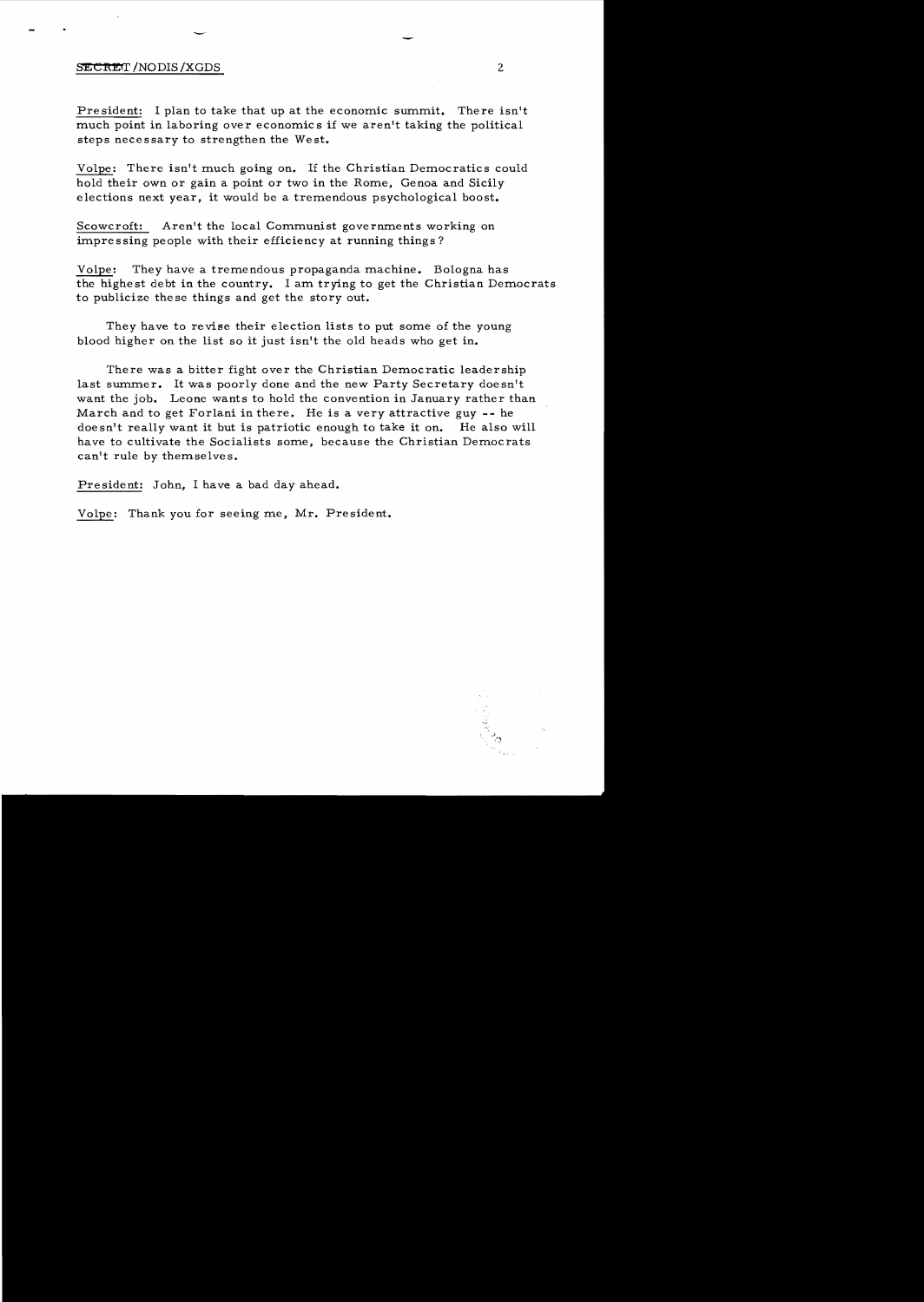## **SECRET** /NODIS /XGDS 2

President: I plan to take that up at the economic summit. There isn't much point in laboring over economics if we aren't taking the political steps necessary to strengthen the West.

Volpe: There isn't much going on. If the Christian Democratics could hold their own or gain a point or two in the Rome, Genoa and Sicily elections next year, it would be a tremendous psychological boost.

Scowcroft: Aren't the local Communist governments working on impressing people with their efficiency at running things?

Volpe: They have a tremendous propaganda machine. Bologna has the highest debt in the country. I am trying to get the Christian Democrats to publicize the se things and get the story out.

They have to revise their election lists to put some of the young blood higher on the list so it just isn't the old heads who get in.

There was a bitter fight over the Christian Democratic leadership last summer. It was poorly done and the new Party Secretary doesn't want the job. Leone wants to hold the convention in January rather than March and to get Forlani in there. He is a very attractive guy -- he doesn't really want it but is patriotic enough to take it on. He also will have to cultivate the Socialists some, because the Christian Democrats can't rule by themselves.

President: John, I have a bad day ahead.

Volpe: Thank you for seeing me, Mr. President.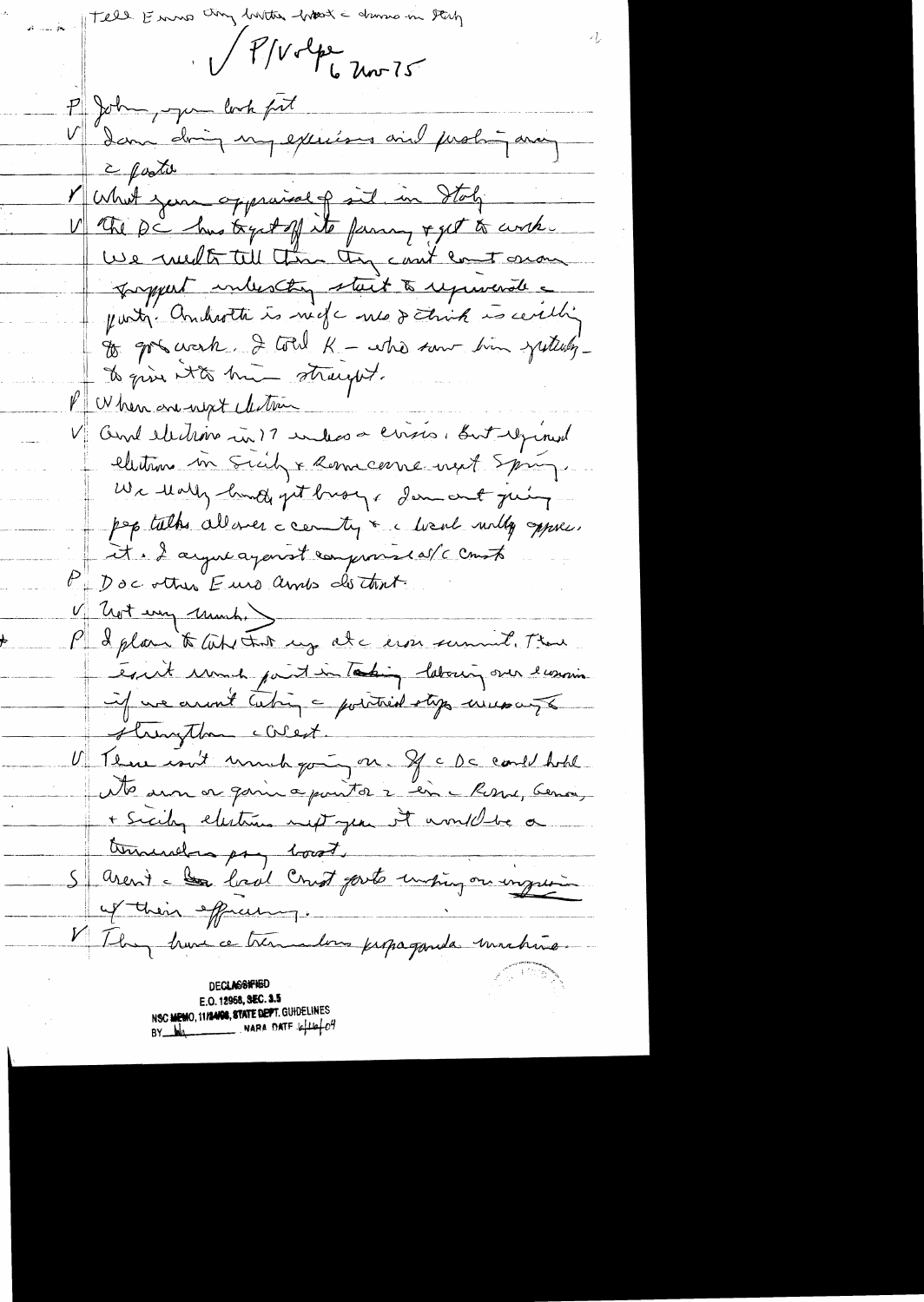they butter hast a drawn in they Fell Emmo VP/Volpe 20075 P John, Jum look fit dan doing un exceise aid partir avec 2 posto Munit jour oppraisely sit in State V the pi has tystoff its farming & get to corch. We medt till than they can't court on on proppert intersting start to represent a party. Androthe is neck need think is certify to got work. I total K - who saw him justulyto give it to him straught. PU her one upt electric V and electrons in 17 index a cross, But regimed elections in Suitz & Remacerne next Spring. We thally land get brough demonst juing pep talks allower a cernity & a local willy oppose. et à 2 ayer agent compromisé avec contr Doc other Euro amis do tant. V Trot every Much, P & plan to lub that my at a erson summer. There equit und paintimetating laboury over eurosin if we arrot taking a pointied stops were as strungthen callest. There isn't unnit going on If a Da could hold  $U_{++}$ No aun or gain a point à 2 en c Rosse, Genoi, + Sicily electrics met jean it and the a terminders pry locat. S arent - la lord creet parts unpig on inguin of their effecting. They have ce tremmentous propaganda unabina DECLASSAHGU E.O. 12958, SEC. 3.5 N**SC MEMO, 11/24/08, STATE DEPT.** GUIDELINES NAPA DATE 4  $\mu\phi$